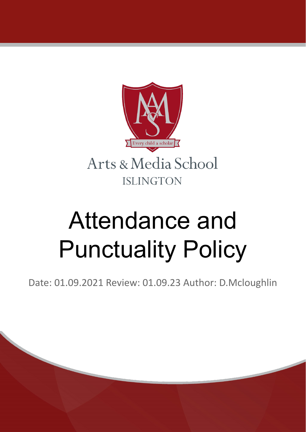

# Attendance and Punctuality Policy

Date: 01.09.2021 Review: 01.09.23 Author: D.Mcloughlin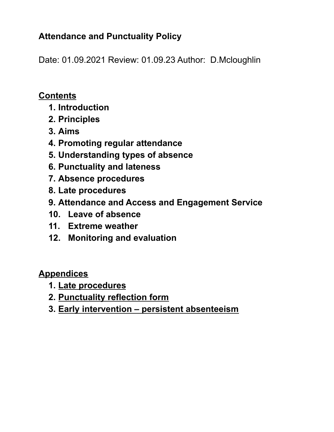# **Attendance and Punctuality Policy**

Date: 01.09.2021 Review: 01.09.23 Author: D.Mcloughlin

## **Contents**

- **1. Introduction**
- **2. Principles**
- **3. Aims**
- **4. Promoting regular attendance**
- **5. Understanding types of absence**
- **6. Punctuality and lateness**
- **7. Absence procedures**
- **8. Late procedures**
- **9. Attendance and Access and Engagement Service**
- **10. Leave of absence**
- **11. Extreme weather**
- **12. Monitoring and evaluation**

## **Appendices**

- **1. Late procedures**
- **2. Punctuality reflection form**
- **3. Early intervention – persistent absenteeism**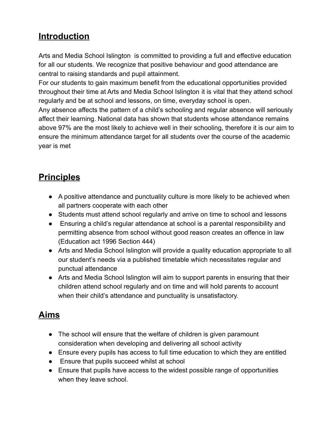# **Introduction**

Arts and Media School Islington is committed to providing a full and effective education for all our students. We recognize that positive behaviour and good attendance are central to raising standards and pupil attainment.

For our students to gain maximum benefit from the educational opportunities provided throughout their time at Arts and Media School Islington it is vital that they attend school regularly and be at school and lessons, on time, everyday school is open.

Any absence affects the pattern of a child's schooling and regular absence will seriously affect their learning. National data has shown that students whose attendance remains above 97% are the most likely to achieve well in their schooling, therefore it is our aim to ensure the minimum attendance target for all students over the course of the academic year is met

# **Principles**

- A positive attendance and punctuality culture is more likely to be achieved when all partners cooperate with each other
- Students must attend school regularly and arrive on time to school and lessons
- Ensuring a child's regular attendance at school is a parental responsibility and permitting absence from school without good reason creates an offence in law (Education act 1996 Section 444)
- Arts and Media School Islington will provide a quality education appropriate to all our student's needs via a published timetable which necessitates regular and punctual attendance
- Arts and Media School Islington will aim to support parents in ensuring that their children attend school regularly and on time and will hold parents to account when their child's attendance and punctuality is unsatisfactory.

# **Aims**

- The school will ensure that the welfare of children is given paramount consideration when developing and delivering all school activity
- Ensure every pupils has access to full time education to which they are entitled
- Ensure that pupils succeed whilst at school
- Ensure that pupils have access to the widest possible range of opportunities when they leave school.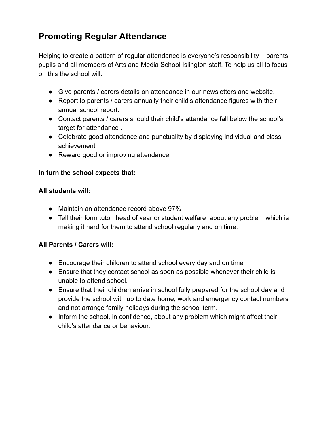# **Promoting Regular Attendance**

Helping to create a pattern of regular attendance is everyone's responsibility – parents, pupils and all members of Arts and Media School Islington staff. To help us all to focus on this the school will:

- Give parents / carers details on attendance in our newsletters and website.
- Report to parents / carers annually their child's attendance figures with their annual school report.
- Contact parents / carers should their child's attendance fall below the school's target for attendance .
- Celebrate good attendance and punctuality by displaying individual and class achievement
- Reward good or improving attendance.

#### **In turn the school expects that:**

#### **All students will:**

- Maintain an attendance record above 97%
- Tell their form tutor, head of year or student welfare about any problem which is making it hard for them to attend school regularly and on time.

#### **All Parents / Carers will:**

- Encourage their children to attend school every day and on time
- Ensure that they contact school as soon as possible whenever their child is unable to attend school.
- Ensure that their children arrive in school fully prepared for the school day and provide the school with up to date home, work and emergency contact numbers and not arrange family holidays during the school term.
- Inform the school, in confidence, about any problem which might affect their child's attendance or behaviour.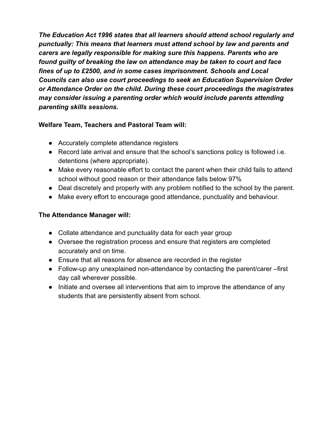*The Education Act 1996 states that all learners should attend school regularly and punctually: This means that learners must attend school by law and parents and carers are legally responsible for making sure this happens. Parents who are found guilty of breaking the law on attendance may be taken to court and face fines of up to £2500, and in some cases imprisonment. Schools and Local Councils can also use court proceedings to seek an Education Supervision Order or Attendance Order on the child. During these court proceedings the magistrates may consider issuing a parenting order which would include parents attending parenting skills sessions.*

## **Welfare Team, Teachers and Pastoral Team will:**

- Accurately complete attendance registers
- Record late arrival and ensure that the school's sanctions policy is followed i.e. detentions (where appropriate).
- Make every reasonable effort to contact the parent when their child fails to attend school without good reason or their attendance falls below 97%
- Deal discretely and properly with any problem notified to the school by the parent.
- Make every effort to encourage good attendance, punctuality and behaviour.

## **The Attendance Manager will:**

- Collate attendance and punctuality data for each year group
- Oversee the registration process and ensure that registers are completed accurately and on time.
- Ensure that all reasons for absence are recorded in the register
- Follow-up any unexplained non-attendance by contacting the parent/carer –first day call wherever possible.
- Initiate and oversee all interventions that aim to improve the attendance of any students that are persistently absent from school.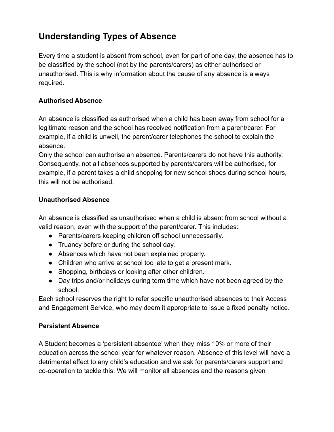# **Understanding Types of Absence**

Every time a student is absent from school, even for part of one day, the absence has to be classified by the school (not by the parents/carers) as either authorised or unauthorised. This is why information about the cause of any absence is always required.

### **Authorised Absence**

An absence is classified as authorised when a child has been away from school for a legitimate reason and the school has received notification from a parent/carer. For example, if a child is unwell, the parent/carer telephones the school to explain the absence.

Only the school can authorise an absence. Parents/carers do not have this authority. Consequently, not all absences supported by parents/carers will be authorised, for example, if a parent takes a child shopping for new school shoes during school hours, this will not be authorised.

### **Unauthorised Absence**

An absence is classified as unauthorised when a child is absent from school without a valid reason, even with the support of the parent/carer. This includes:

- Parents/carers keeping children off school unnecessarily.
- Truancy before or during the school day.
- Absences which have not been explained properly.
- Children who arrive at school too late to get a present mark.
- Shopping, birthdays or looking after other children.
- Day trips and/or holidays during term time which have not been agreed by the school.

Each school reserves the right to refer specific unauthorised absences to their Access and Engagement Service, who may deem it appropriate to issue a fixed penalty notice.

#### **Persistent Absence**

A Student becomes a 'persistent absentee' when they miss 10% or more of their education across the school year for whatever reason. Absence of this level will have a detrimental effect to any child's education and we ask for parents/carers support and co-operation to tackle this. We will monitor all absences and the reasons given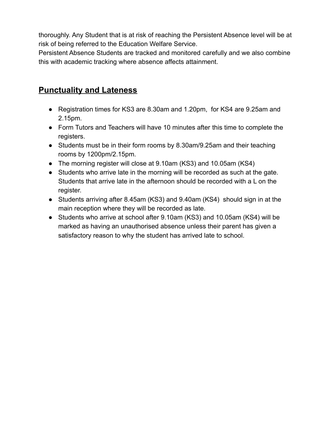thoroughly. Any Student that is at risk of reaching the Persistent Absence level will be at risk of being referred to the Education Welfare Service.

Persistent Absence Students are tracked and monitored carefully and we also combine this with academic tracking where absence affects attainment.

## **Punctuality and Lateness**

- Registration times for KS3 are 8.30am and 1.20pm, for KS4 are 9.25am and 2.15pm.
- Form Tutors and Teachers will have 10 minutes after this time to complete the registers.
- Students must be in their form rooms by 8.30am/9.25am and their teaching rooms by 1200pm/2.15pm.
- The morning register will close at 9.10am (KS3) and 10.05am (KS4)
- Students who arrive late in the morning will be recorded as such at the gate. Students that arrive late in the afternoon should be recorded with a L on the register.
- Students arriving after 8.45am (KS3) and 9.40am (KS4) should sign in at the main reception where they will be recorded as late.
- Students who arrive at school after 9.10am (KS3) and 10.05am (KS4) will be marked as having an unauthorised absence unless their parent has given a satisfactory reason to why the student has arrived late to school.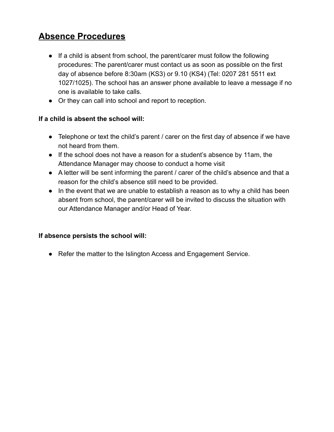# **Absence Procedures**

- If a child is absent from school, the parent/carer must follow the following procedures: The parent/carer must contact us as soon as possible on the first day of absence before 8:30am (KS3) or 9.10 (KS4) (Tel: 0207 281 5511 ext 1027/1025). The school has an answer phone available to leave a message if no one is available to take calls.
- Or they can call into school and report to reception.

#### **If a child is absent the school will:**

- Telephone or text the child's parent / carer on the first day of absence if we have not heard from them.
- If the school does not have a reason for a student's absence by 11am, the Attendance Manager may choose to conduct a home visit
- A letter will be sent informing the parent / carer of the child's absence and that a reason for the child's absence still need to be provided.
- In the event that we are unable to establish a reason as to why a child has been absent from school, the parent/carer will be invited to discuss the situation with our Attendance Manager and/or Head of Year.

#### **If absence persists the school will:**

● Refer the matter to the Islington Access and Engagement Service.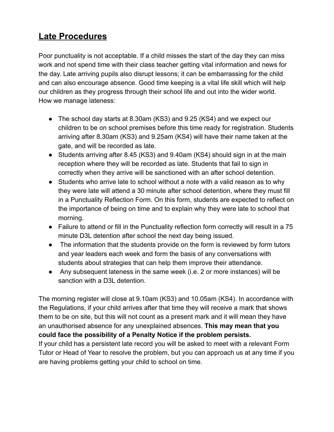# **Late Procedures**

Poor punctuality is not acceptable. If a child misses the start of the day they can miss work and not spend time with their class teacher getting vital information and news for the day. Late arriving pupils also disrupt lessons; it can be embarrassing for the child and can also encourage absence. Good time keeping is a vital life skill which will help our children as they progress through their school life and out into the wider world. How we manage lateness:

- The school day starts at 8.30am (KS3) and 9.25 (KS4) and we expect our children to be on school premises before this time ready for registration. Students arriving after 8.30am (KS3) and 9.25am (KS4) will have their name taken at the gate, and will be recorded as late.
- Students arriving after 8.45 (KS3) and 9.40am (KS4) should sign in at the main reception where they will be recorded as late. Students that fail to sign in correctly when they arrive will be sanctioned with an after school detention.
- Students who arrive late to school without a note with a valid reason as to why they were late will attend a 30 minute after school detention, where they must fill in a Punctuality Reflection Form. On this form, students are expected to reflect on the importance of being on time and to explain why they were late to school that morning.
- Failure to attend or fill in the Punctuality reflection form correctly will result in a 75 minute D3L detention after school the next day being issued.
- The information that the students provide on the form is reviewed by form tutors and year leaders each week and form the basis of any conversations with students about strategies that can help them improve their attendance.
- Any subsequent lateness in the same week (i.e. 2 or more instances) will be sanction with a D3L detention.

The morning register will close at 9.10am (KS3) and 10.05am (KS4). In accordance with the Regulations, if your child arrives after that time they will receive a mark that shows them to be on site, but this will not count as a present mark and it will mean they have an unauthorised absence for any unexplained absences. **This may mean that you could face the possibility of a Penalty Notice if the problem persists.**

If your child has a persistent late record you will be asked to meet with a relevant Form Tutor or Head of Year to resolve the problem, but you can approach us at any time if you are having problems getting your child to school on time.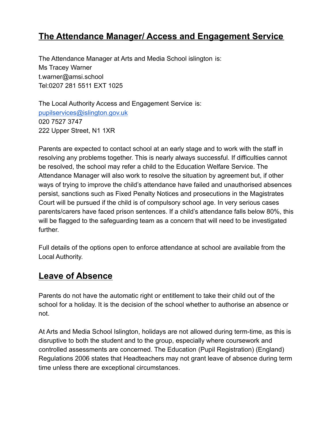## **The Attendance Manager/ Access and Engagement Service**

The Attendance Manager at Arts and Media School islington is: Ms Tracey Warner t.warner@amsi.school Tel:0207 281 5511 EXT 1025

The Local Authority Access and Engagement Service is: [pupilservices@islington.gov.uk](mailto:pupilservices@islington.gov.uk) 020 7527 3747 222 Upper Street, N1 1XR

Parents are expected to contact school at an early stage and to work with the staff in resolving any problems together. This is nearly always successful. If difficulties cannot be resolved, the school may refer a child to the Education Welfare Service. The Attendance Manager will also work to resolve the situation by agreement but, if other ways of trying to improve the child's attendance have failed and unauthorised absences persist, sanctions such as Fixed Penalty Notices and prosecutions in the Magistrates Court will be pursued if the child is of compulsory school age. In very serious cases parents/carers have faced prison sentences. If a child's attendance falls below 80%, this will be flagged to the safeguarding team as a concern that will need to be investigated further.

Full details of the options open to enforce attendance at school are available from the Local Authority.

## **Leave of Absence**

Parents do not have the automatic right or entitlement to take their child out of the school for a holiday. It is the decision of the school whether to authorise an absence or not.

At Arts and Media School Islington, holidays are not allowed during term-time, as this is disruptive to both the student and to the group, especially where coursework and controlled assessments are concerned. The Education (Pupil Registration) (England) Regulations 2006 states that Headteachers may not grant leave of absence during term time unless there are exceptional circumstances.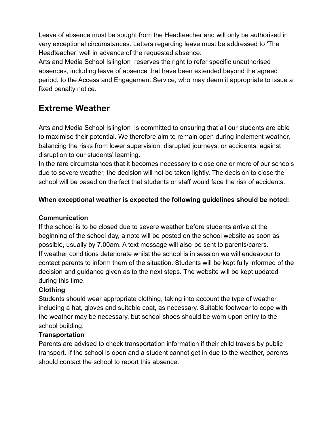Leave of absence must be sought from the Headteacher and will only be authorised in very exceptional circumstances. Letters regarding leave must be addressed to 'The Headteacher' well in advance of the requested absence.

Arts and Media School Islington reserves the right to refer specific unauthorised absences, including leave of absence that have been extended beyond the agreed period, to the Access and Engagement Service, who may deem it appropriate to issue a fixed penalty notice.

## **Extreme Weather**

Arts and Media School Islington is committed to ensuring that all our students are able to maximise their potential. We therefore aim to remain open during inclement weather, balancing the risks from lower supervision, disrupted journeys, or accidents, against disruption to our students' learning.

In the rare circumstances that it becomes necessary to close one or more of our schools due to severe weather, the decision will not be taken lightly. The decision to close the school will be based on the fact that students or staff would face the risk of accidents.

## **When exceptional weather is expected the following guidelines should be noted:**

## **Communication**

If the school is to be closed due to severe weather before students arrive at the beginning of the school day, a note will be posted on the school website as soon as possible, usually by 7.00am. A text message will also be sent to parents/carers. If weather conditions deteriorate whilst the school is in session we will endeavour to contact parents to inform them of the situation. Students will be kept fully informed of the decision and guidance given as to the next steps. The website will be kept updated during this time.

## **Clothing**

Students should wear appropriate clothing, taking into account the type of weather, including a hat, gloves and suitable coat, as necessary. Suitable footwear to cope with the weather may be necessary, but school shoes should be worn upon entry to the school building.

## **Transportation**

Parents are advised to check transportation information if their child travels by public transport. If the school is open and a student cannot get in due to the weather, parents should contact the school to report this absence.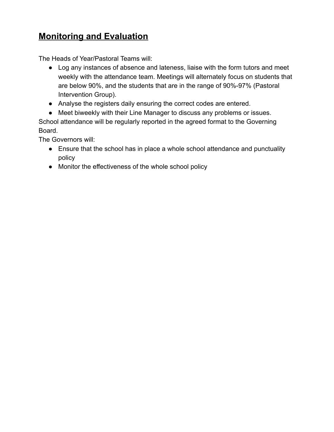# **Monitoring and Evaluation**

The Heads of Year/Pastoral Teams will:

- Log any instances of absence and lateness, liaise with the form tutors and meet weekly with the attendance team. Meetings will alternately focus on students that are below 90%, and the students that are in the range of 90%-97% (Pastoral Intervention Group).
- Analyse the registers daily ensuring the correct codes are entered.
- Meet biweekly with their Line Manager to discuss any problems or issues.

School attendance will be regularly reported in the agreed format to the Governing Board.

The Governors will:

- Ensure that the school has in place a whole school attendance and punctuality policy
- Monitor the effectiveness of the whole school policy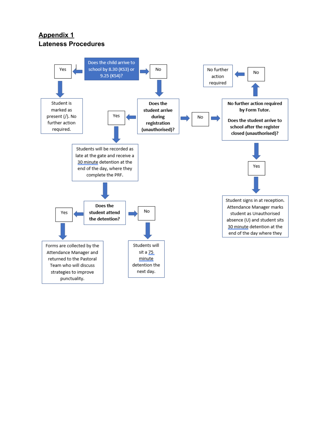## **Appendix 1 Lateness Procedures**

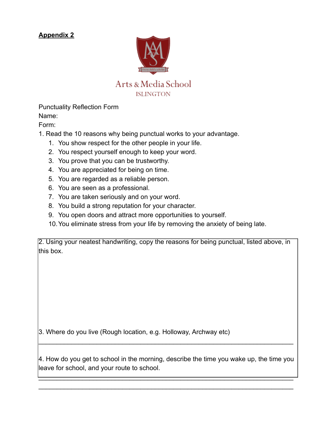## **Appendix 2**



Punctuality Reflection Form

Name:

Form:

- 1. Read the 10 reasons why being punctual works to your advantage.
	- 1. You show respect for the other people in your life.
	- 2. You respect yourself enough to keep your word.
	- 3. You prove that you can be trustworthy.
	- 4. You are appreciated for being on time.
	- 5. You are regarded as a reliable person.
	- 6. You are seen as a professional.
	- 7. You are taken seriously and on your word.
	- 8. You build a strong reputation for your character.
	- 9. You open doors and attract more opportunities to yourself.
	- 10.You eliminate stress from your life by removing the anxiety of being late.

2. Using your neatest handwriting, copy the reasons for being punctual, listed above, in this box.

3. Where do you live (Rough location, e.g. Holloway, Archway etc)

4. How do you get to school in the morning, describe the time you wake up, the time you leave for school, and your route to school.

 $\mathcal{L}_\text{max}$  and  $\mathcal{L}_\text{max}$  and  $\mathcal{L}_\text{max}$  and  $\mathcal{L}_\text{max}$  and  $\mathcal{L}_\text{max}$  and  $\mathcal{L}_\text{max}$  $\_$ 

 $\mathcal{L}_\text{max} = \mathcal{L}_\text{max} = \mathcal{L}_\text{max} = \mathcal{L}_\text{max} = \mathcal{L}_\text{max} = \mathcal{L}_\text{max} = \mathcal{L}_\text{max} = \mathcal{L}_\text{max} = \mathcal{L}_\text{max} = \mathcal{L}_\text{max} = \mathcal{L}_\text{max} = \mathcal{L}_\text{max} = \mathcal{L}_\text{max} = \mathcal{L}_\text{max} = \mathcal{L}_\text{max} = \mathcal{L}_\text{max} = \mathcal{L}_\text{max} = \mathcal{L}_\text{max} = \mathcal{$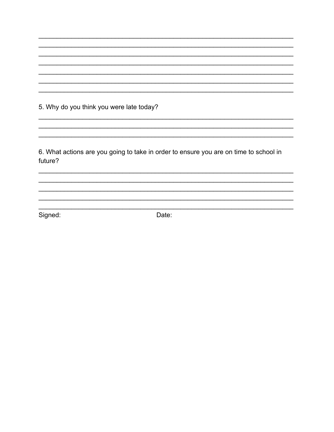5. Why do you think you were late today?

6. What actions are you going to take in order to ensure you are on time to school in future?

Signed:

Date: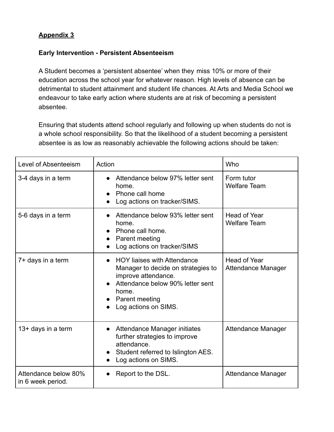## **Appendix 3**

#### **Early Intervention - Persistent Absenteeism**

A Student becomes a 'persistent absentee' when they miss 10% or more of their education across the school year for whatever reason. High levels of absence can be detrimental to student attainment and student life chances. At Arts and Media School we endeavour to take early action where students are at risk of becoming a persistent absentee.

Ensuring that students attend school regularly and following up when students do not is a whole school responsibility. So that the likelihood of a student becoming a persistent absentee is as low as reasonably achievable the following actions should be taken:

| Level of Absenteeism                      | Action                                                                                                                                                                                 | Who                                        |
|-------------------------------------------|----------------------------------------------------------------------------------------------------------------------------------------------------------------------------------------|--------------------------------------------|
| 3-4 days in a term                        | Attendance below 97% letter sent<br>home.<br>Phone call home<br>Log actions on tracker/SIMS.                                                                                           | Form tutor<br><b>Welfare Team</b>          |
| 5-6 days in a term                        | Attendance below 93% letter sent<br>home.<br>Phone call home.<br>Parent meeting<br>$\bullet$<br>Log actions on tracker/SIMS                                                            | <b>Head of Year</b><br><b>Welfare Team</b> |
| 7+ days in a term                         | <b>HOY liaises with Attendance</b><br>Manager to decide on strategies to<br>improve attendance.<br>Attendance below 90% letter sent<br>home.<br>Parent meeting<br>Log actions on SIMS. | <b>Head of Year</b><br>Attendance Manager  |
| 13+ days in a term                        | Attendance Manager initiates<br>$\bullet$<br>further strategies to improve<br>attendance.<br>Student referred to Islington AES.<br>Log actions on SIMS.                                | Attendance Manager                         |
| Attendance below 80%<br>in 6 week period. | Report to the DSL.                                                                                                                                                                     | Attendance Manager                         |